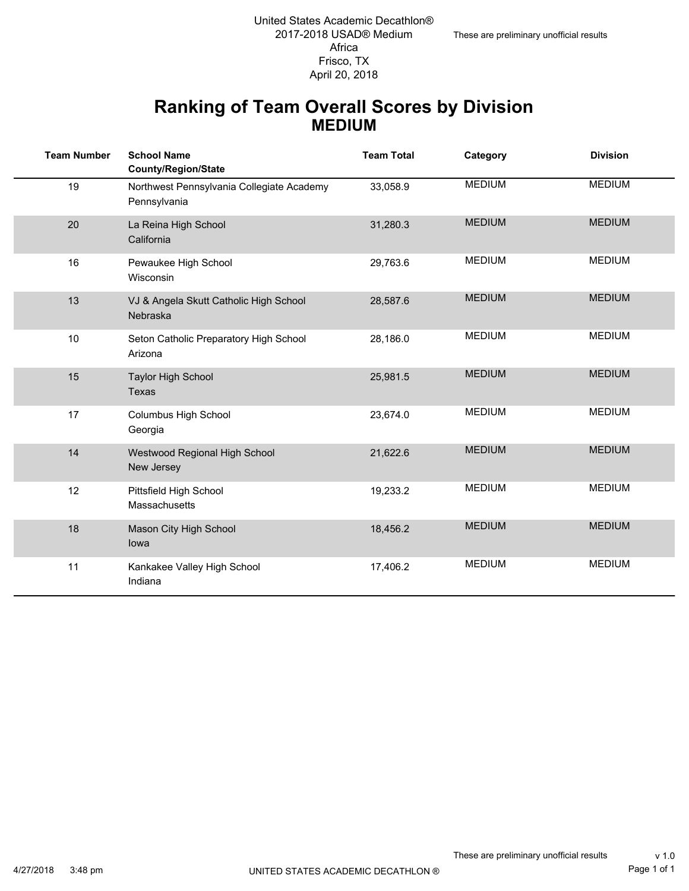#### Frisco, TX 2017-2018 USAD® Medium Africa United States Academic Decathlon® April 20, 2018

#### **Ranking of Team Overall Scores by Division MEDIUM**

| <b>Team Number</b> | <b>School Name</b><br>County/Region/State                 | <b>Team Total</b> | Category      | <b>Division</b> |
|--------------------|-----------------------------------------------------------|-------------------|---------------|-----------------|
| 19                 | Northwest Pennsylvania Collegiate Academy<br>Pennsylvania | 33,058.9          | <b>MEDIUM</b> | <b>MEDIUM</b>   |
| 20                 | La Reina High School<br>California                        | 31,280.3          | <b>MEDIUM</b> | <b>MEDIUM</b>   |
| 16                 | Pewaukee High School<br>Wisconsin                         | 29,763.6          | <b>MEDIUM</b> | <b>MEDIUM</b>   |
| 13                 | VJ & Angela Skutt Catholic High School<br>Nebraska        | 28,587.6          | <b>MEDIUM</b> | <b>MEDIUM</b>   |
| 10                 | Seton Catholic Preparatory High School<br>Arizona         | 28,186.0          | <b>MEDIUM</b> | <b>MEDIUM</b>   |
| 15                 | <b>Taylor High School</b><br><b>Texas</b>                 | 25,981.5          | <b>MEDIUM</b> | <b>MEDIUM</b>   |
| 17                 | Columbus High School<br>Georgia                           | 23,674.0          | <b>MEDIUM</b> | <b>MEDIUM</b>   |
| 14                 | Westwood Regional High School<br>New Jersey               | 21,622.6          | <b>MEDIUM</b> | <b>MEDIUM</b>   |
| 12                 | Pittsfield High School<br>Massachusetts                   | 19,233.2          | <b>MEDIUM</b> | <b>MEDIUM</b>   |
| 18                 | Mason City High School<br>lowa                            | 18,456.2          | <b>MEDIUM</b> | <b>MEDIUM</b>   |
| 11                 | Kankakee Valley High School<br>Indiana                    | 17,406.2          | <b>MEDIUM</b> | <b>MEDIUM</b>   |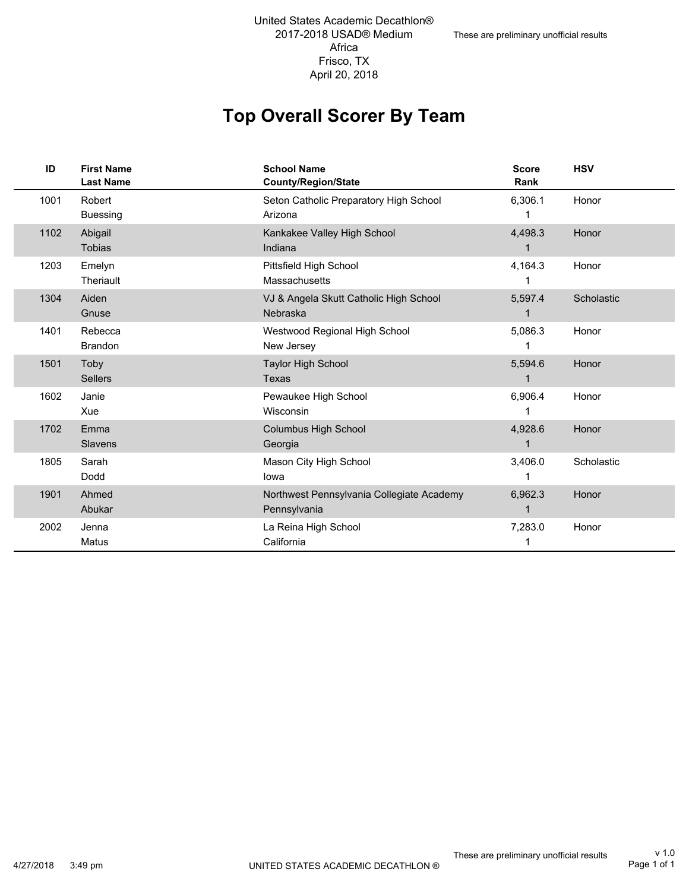2017-2018 USAD® Medium Africa Frisco, TX United States Academic Decathlon® April 20, 2018

## **Top Overall Scorer By Team**

| ID   | <b>First Name</b><br><b>Last Name</b> | <b>School Name</b><br><b>County/Region/State</b>          | <b>Score</b><br>Rank | <b>HSV</b> |
|------|---------------------------------------|-----------------------------------------------------------|----------------------|------------|
| 1001 | Robert<br><b>Buessing</b>             | Seton Catholic Preparatory High School<br>Arizona         | 6,306.1              | Honor      |
| 1102 | Abigail<br><b>Tobias</b>              | Kankakee Valley High School<br>Indiana                    | 4,498.3              | Honor      |
| 1203 | Emelyn<br>Theriault                   | Pittsfield High School<br>Massachusetts                   | 4,164.3              | Honor      |
| 1304 | Aiden<br>Gnuse                        | VJ & Angela Skutt Catholic High School<br>Nebraska        | 5,597.4              | Scholastic |
| 1401 | Rebecca<br><b>Brandon</b>             | Westwood Regional High School<br>New Jersey               | 5,086.3              | Honor      |
| 1501 | Toby<br><b>Sellers</b>                | <b>Taylor High School</b><br>Texas                        | 5,594.6<br>1         | Honor      |
| 1602 | Janie<br>Xue                          | Pewaukee High School<br>Wisconsin                         | 6,906.4              | Honor      |
| 1702 | Emma<br>Slavens                       | Columbus High School<br>Georgia                           | 4,928.6              | Honor      |
| 1805 | Sarah<br>Dodd                         | Mason City High School<br>lowa                            | 3,406.0              | Scholastic |
| 1901 | Ahmed<br>Abukar                       | Northwest Pennsylvania Collegiate Academy<br>Pennsylvania | 6,962.3              | Honor      |
| 2002 | Jenna<br>Matus                        | La Reina High School<br>California                        | 7,283.0              | Honor      |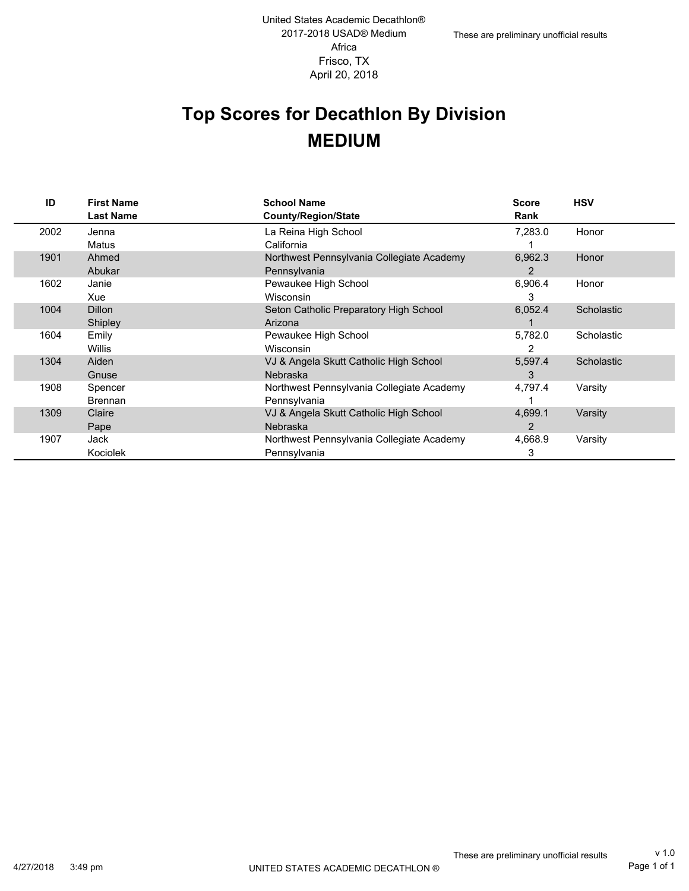# **Top Scores for Decathlon By Division MEDIUM**

| ID   | <b>First Name</b><br><b>Last Name</b> | <b>School Name</b><br><b>County/Region/State</b> | <b>Score</b><br>Rank | <b>HSV</b> |
|------|---------------------------------------|--------------------------------------------------|----------------------|------------|
| 2002 | Jenna                                 | La Reina High School                             | 7,283.0              | Honor      |
|      | Matus                                 | California                                       |                      |            |
| 1901 | Ahmed                                 | Northwest Pennsylvania Collegiate Academy        | 6,962.3              | Honor      |
|      | Abukar                                | Pennsylvania                                     | 2                    |            |
| 1602 | Janie                                 | Pewaukee High School                             | 6,906.4              | Honor      |
|      | Xue                                   | Wisconsin                                        | 3                    |            |
| 1004 | <b>Dillon</b>                         | Seton Catholic Preparatory High School           | 6,052.4              | Scholastic |
|      | Shipley                               | Arizona                                          |                      |            |
| 1604 | Emily                                 | Pewaukee High School                             | 5,782.0              | Scholastic |
|      | <b>Willis</b>                         | <b>Wisconsin</b>                                 | 2                    |            |
| 1304 | Aiden                                 | VJ & Angela Skutt Catholic High School           | 5,597.4              | Scholastic |
|      | Gnuse                                 | Nebraska                                         | 3                    |            |
| 1908 | Spencer                               | Northwest Pennsylvania Collegiate Academy        | 4,797.4              | Varsity    |
|      | <b>Brennan</b>                        | Pennsylvania                                     |                      |            |
| 1309 | Claire                                | VJ & Angela Skutt Catholic High School           | 4,699.1              | Varsity    |
|      | Pape                                  | <b>Nebraska</b>                                  | 2                    |            |
| 1907 | Jack                                  | Northwest Pennsylvania Collegiate Academy        | 4,668.9              | Varsity    |
|      | Kociolek                              | Pennsylvania                                     | 3                    |            |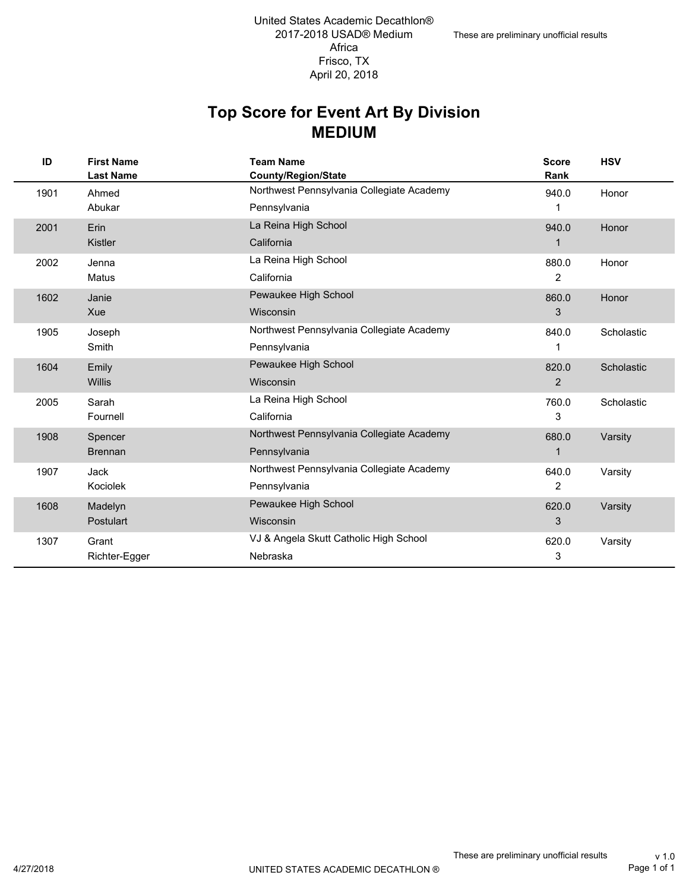#### **MEDIUM Top Score for Event Art By Division**

| ID   | <b>First Name</b><br><b>Last Name</b> | <b>Team Name</b><br><b>County/Region/State</b> | <b>Score</b><br>Rank | <b>HSV</b> |
|------|---------------------------------------|------------------------------------------------|----------------------|------------|
| 1901 | Ahmed                                 | Northwest Pennsylvania Collegiate Academy      | 940.0                | Honor      |
|      | Abukar                                | Pennsylvania                                   | 1                    |            |
| 2001 | Erin                                  | La Reina High School                           | 940.0                | Honor      |
|      | Kistler                               | California                                     | 1                    |            |
| 2002 | Jenna                                 | La Reina High School                           | 880.0                | Honor      |
|      | Matus                                 | California                                     | 2                    |            |
| 1602 | Janie                                 | Pewaukee High School                           | 860.0                | Honor      |
|      | Xue                                   | Wisconsin                                      | 3                    |            |
| 1905 | Joseph                                | Northwest Pennsylvania Collegiate Academy      | 840.0                | Scholastic |
|      | Smith                                 | Pennsylvania                                   | 1                    |            |
| 1604 | Emily                                 | Pewaukee High School                           | 820.0                | Scholastic |
|      | <b>Willis</b>                         | Wisconsin                                      | $\overline{2}$       |            |
| 2005 | Sarah                                 | La Reina High School                           | 760.0                | Scholastic |
|      | Fournell                              | California                                     | 3                    |            |
| 1908 | Spencer                               | Northwest Pennsylvania Collegiate Academy      | 680.0                | Varsity    |
|      | <b>Brennan</b>                        | Pennsylvania                                   | 1                    |            |
| 1907 | <b>Jack</b>                           | Northwest Pennsylvania Collegiate Academy      | 640.0                | Varsity    |
|      | Kociolek                              | Pennsylvania                                   | 2                    |            |
| 1608 | Madelyn                               | Pewaukee High School                           | 620.0                | Varsity    |
|      | Postulart                             | Wisconsin                                      | 3                    |            |
| 1307 | Grant                                 | VJ & Angela Skutt Catholic High School         | 620.0                | Varsity    |
|      | Richter-Egger                         | Nebraska                                       | 3                    |            |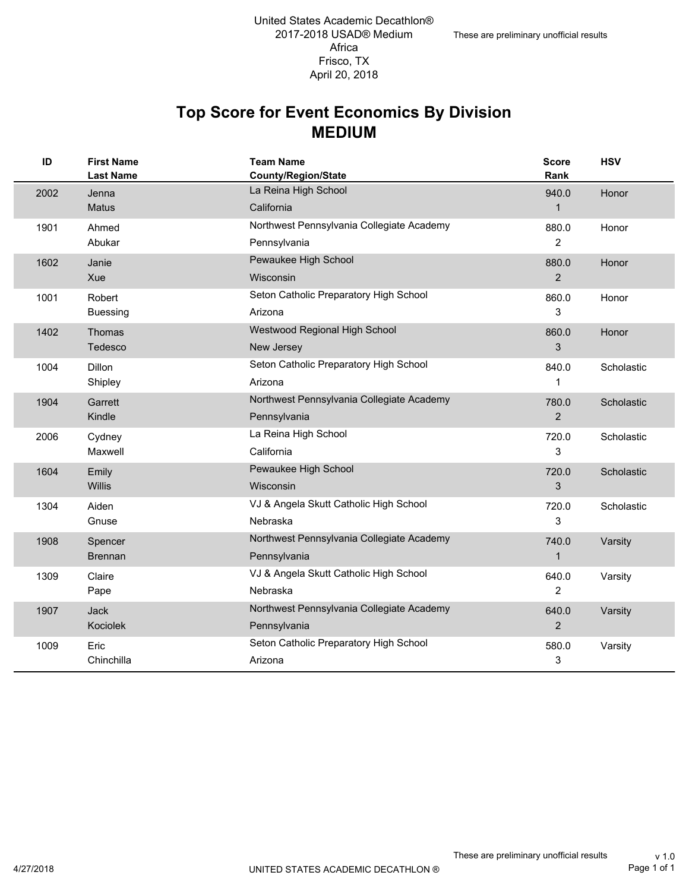#### **MEDIUM Top Score for Event Economics By Division**

| ID   | <b>First Name</b><br><b>Last Name</b> | <b>Team Name</b><br>County/Region/State                   | <b>Score</b><br>Rank    | <b>HSV</b> |
|------|---------------------------------------|-----------------------------------------------------------|-------------------------|------------|
| 2002 | Jenna                                 | La Reina High School                                      | 940.0                   | Honor      |
| 1901 | Matus<br>Ahmed                        | California<br>Northwest Pennsylvania Collegiate Academy   | $\mathbf{1}$<br>880.0   | Honor      |
|      | Abukar                                | Pennsylvania                                              | $\overline{2}$          |            |
| 1602 | Janie<br>Xue                          | Pewaukee High School<br>Wisconsin                         | 880.0<br>2              | Honor      |
| 1001 | Robert<br><b>Buessing</b>             | Seton Catholic Preparatory High School<br>Arizona         | 860.0<br>3              | Honor      |
| 1402 | Thomas<br>Tedesco                     | Westwood Regional High School<br>New Jersey               | 860.0<br>3              | Honor      |
| 1004 | <b>Dillon</b><br>Shipley              | Seton Catholic Preparatory High School<br>Arizona         | 840.0<br>1              | Scholastic |
| 1904 | Garrett<br>Kindle                     | Northwest Pennsylvania Collegiate Academy<br>Pennsylvania | 780.0<br>$\overline{2}$ | Scholastic |
| 2006 | Cydney<br>Maxwell                     | La Reina High School<br>California                        | 720.0<br>3              | Scholastic |
| 1604 | Emily<br><b>Willis</b>                | Pewaukee High School<br>Wisconsin                         | 720.0<br>3              | Scholastic |
| 1304 | Aiden<br>Gnuse                        | VJ & Angela Skutt Catholic High School<br>Nebraska        | 720.0<br>3              | Scholastic |
| 1908 | Spencer<br><b>Brennan</b>             | Northwest Pennsylvania Collegiate Academy<br>Pennsylvania | 740.0<br>$\mathbf{1}$   | Varsity    |
| 1309 | Claire<br>Pape                        | VJ & Angela Skutt Catholic High School<br>Nebraska        | 640.0<br>2              | Varsity    |
| 1907 | Jack<br>Kociolek                      | Northwest Pennsylvania Collegiate Academy<br>Pennsylvania | 640.0<br>$\overline{2}$ | Varsity    |
| 1009 | Eric<br>Chinchilla                    | Seton Catholic Preparatory High School<br>Arizona         | 580.0<br>3              | Varsity    |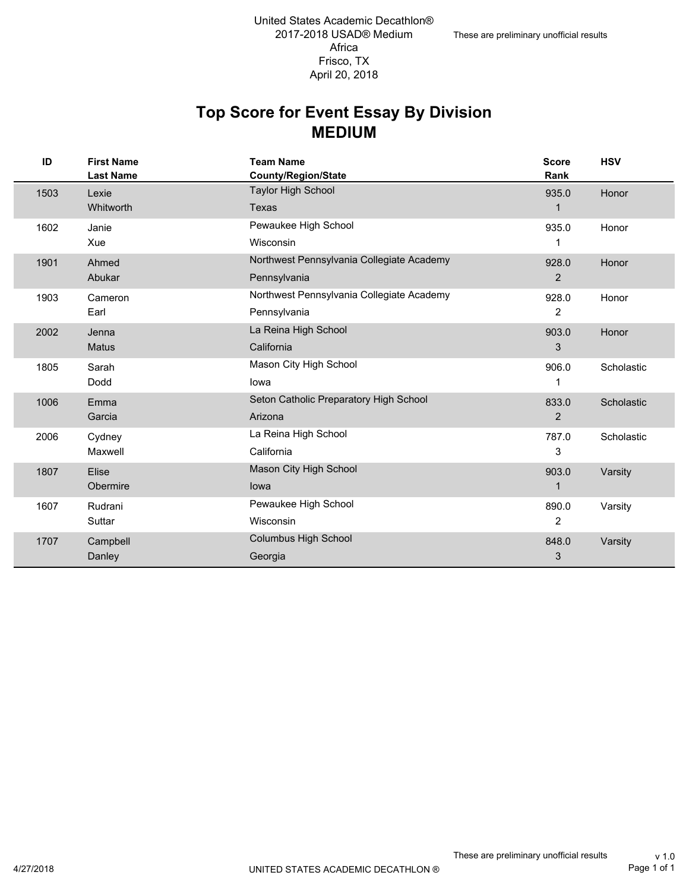#### **MEDIUM Top Score for Event Essay By Division**

| ID   | <b>First Name</b><br><b>Last Name</b> | <b>Team Name</b><br>County/Region/State   | <b>Score</b><br>Rank | <b>HSV</b> |
|------|---------------------------------------|-------------------------------------------|----------------------|------------|
| 1503 | Lexie                                 | <b>Taylor High School</b>                 | 935.0                | Honor      |
|      | <b>Whitworth</b>                      | Texas                                     | 1                    |            |
| 1602 | Janie                                 | Pewaukee High School                      | 935.0                | Honor      |
|      | Xue                                   | Wisconsin                                 | 1                    |            |
| 1901 | Ahmed                                 | Northwest Pennsylvania Collegiate Academy | 928.0                | Honor      |
|      | Abukar                                | Pennsylvania                              | 2                    |            |
| 1903 | Cameron                               | Northwest Pennsylvania Collegiate Academy | 928.0                | Honor      |
|      | Earl                                  | Pennsylvania                              | 2                    |            |
| 2002 | Jenna                                 | La Reina High School                      | 903.0                | Honor      |
|      | Matus                                 | California                                | 3                    |            |
| 1805 | Sarah                                 | Mason City High School                    | 906.0                | Scholastic |
|      | Dodd                                  | lowa                                      | 1                    |            |
| 1006 | Emma                                  | Seton Catholic Preparatory High School    | 833.0                | Scholastic |
|      | Garcia                                | Arizona                                   | $\overline{2}$       |            |
| 2006 | Cydney                                | La Reina High School                      | 787.0                | Scholastic |
|      | Maxwell                               | California                                | 3                    |            |
| 1807 | Elise                                 | Mason City High School                    | 903.0                | Varsity    |
|      | Obermire                              | lowa                                      | 1                    |            |
| 1607 | Rudrani                               | Pewaukee High School                      | 890.0                | Varsity    |
|      | Suttar                                | Wisconsin                                 | $\overline{2}$       |            |
| 1707 | Campbell                              | <b>Columbus High School</b>               | 848.0                | Varsity    |
|      | Danley                                | Georgia                                   | 3                    |            |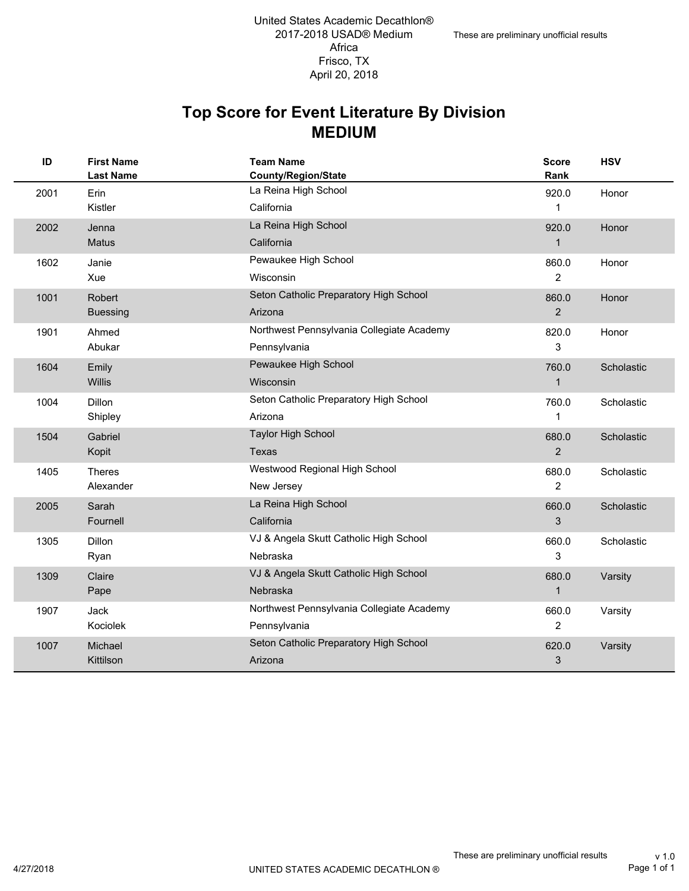#### **MEDIUM Top Score for Event Literature By Division**

| ID   | <b>First Name</b><br><b>Last Name</b> | <b>Team Name</b><br><b>County/Region/State</b>            | Score<br>Rank           | <b>HSV</b> |
|------|---------------------------------------|-----------------------------------------------------------|-------------------------|------------|
| 2001 | Erin<br>Kistler                       | La Reina High School<br>California                        | 920.0<br>1              | Honor      |
| 2002 | Jenna<br><b>Matus</b>                 | La Reina High School<br>California                        | 920.0<br>1              | Honor      |
| 1602 | Janie<br>Xue                          | Pewaukee High School<br>Wisconsin                         | 860.0<br>$\overline{2}$ | Honor      |
| 1001 | Robert<br><b>Buessing</b>             | Seton Catholic Preparatory High School<br>Arizona         | 860.0<br>2              | Honor      |
| 1901 | Ahmed<br>Abukar                       | Northwest Pennsylvania Collegiate Academy<br>Pennsylvania | 820.0<br>3              | Honor      |
| 1604 | Emily<br>Willis                       | Pewaukee High School<br>Wisconsin                         | 760.0<br>$\mathbf 1$    | Scholastic |
| 1004 | <b>Dillon</b><br>Shipley              | Seton Catholic Preparatory High School<br>Arizona         | 760.0<br>1              | Scholastic |
| 1504 | Gabriel<br>Kopit                      | <b>Taylor High School</b><br>Texas                        | 680.0<br>2              | Scholastic |
| 1405 | <b>Theres</b><br>Alexander            | Westwood Regional High School<br>New Jersey               | 680.0<br>$\overline{2}$ | Scholastic |
| 2005 | Sarah<br>Fournell                     | La Reina High School<br>California                        | 660.0<br>3              | Scholastic |
| 1305 | <b>Dillon</b><br>Ryan                 | VJ & Angela Skutt Catholic High School<br>Nebraska        | 660.0<br>3              | Scholastic |
| 1309 | Claire<br>Pape                        | VJ & Angela Skutt Catholic High School<br><b>Nebraska</b> | 680.0<br>$\mathbf 1$    | Varsity    |
| 1907 | Jack<br>Kociolek                      | Northwest Pennsylvania Collegiate Academy<br>Pennsylvania | 660.0<br>$\overline{2}$ | Varsity    |
| 1007 | Michael<br>Kittilson                  | Seton Catholic Preparatory High School<br>Arizona         | 620.0<br>3              | Varsity    |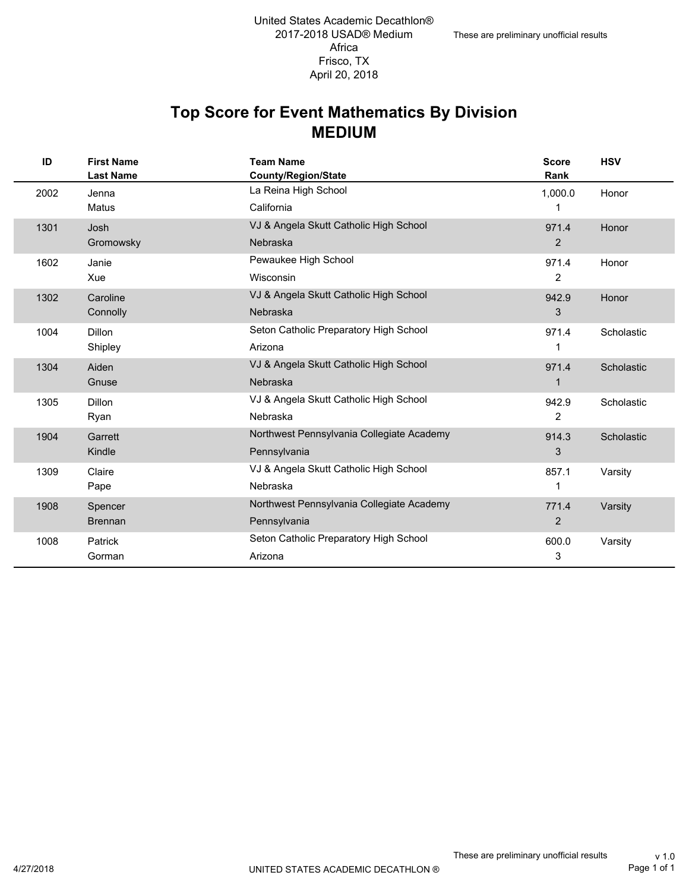#### **MEDIUM Top Score for Event Mathematics By Division**

| ID   | <b>First Name</b><br><b>Last Name</b> | <b>Team Name</b><br><b>County/Region/State</b> | <b>Score</b><br>Rank | <b>HSV</b> |
|------|---------------------------------------|------------------------------------------------|----------------------|------------|
| 2002 | Jenna                                 | La Reina High School                           | 1,000.0              | Honor      |
|      | <b>Matus</b>                          | California                                     | 1                    |            |
| 1301 | Josh                                  | VJ & Angela Skutt Catholic High School         | 971.4                | Honor      |
|      | Gromowsky                             | <b>Nebraska</b>                                | 2                    |            |
| 1602 | Janie                                 | Pewaukee High School                           | 971.4                | Honor      |
|      | Xue                                   | Wisconsin                                      | 2                    |            |
| 1302 | Caroline                              | VJ & Angela Skutt Catholic High School         | 942.9                | Honor      |
|      | Connolly                              | Nebraska                                       | 3                    |            |
| 1004 | <b>Dillon</b>                         | Seton Catholic Preparatory High School         | 971.4                | Scholastic |
|      | Shipley                               | Arizona                                        | 1                    |            |
| 1304 | Aiden                                 | VJ & Angela Skutt Catholic High School         | 971.4                | Scholastic |
|      | Gnuse                                 | <b>Nebraska</b>                                | 1                    |            |
| 1305 | <b>Dillon</b>                         | VJ & Angela Skutt Catholic High School         | 942.9                | Scholastic |
|      | Ryan                                  | Nebraska                                       | 2                    |            |
| 1904 | Garrett                               | Northwest Pennsylvania Collegiate Academy      | 914.3                | Scholastic |
|      | Kindle                                | Pennsylvania                                   | 3                    |            |
| 1309 | Claire                                | VJ & Angela Skutt Catholic High School         | 857.1                | Varsity    |
|      | Pape                                  | Nebraska                                       | 1                    |            |
| 1908 | Spencer                               | Northwest Pennsylvania Collegiate Academy      | 771.4                | Varsity    |
|      | <b>Brennan</b>                        | Pennsylvania                                   | $\overline{2}$       |            |
| 1008 | Patrick                               | Seton Catholic Preparatory High School         | 600.0                | Varsity    |
|      | Gorman                                | Arizona                                        | 3                    |            |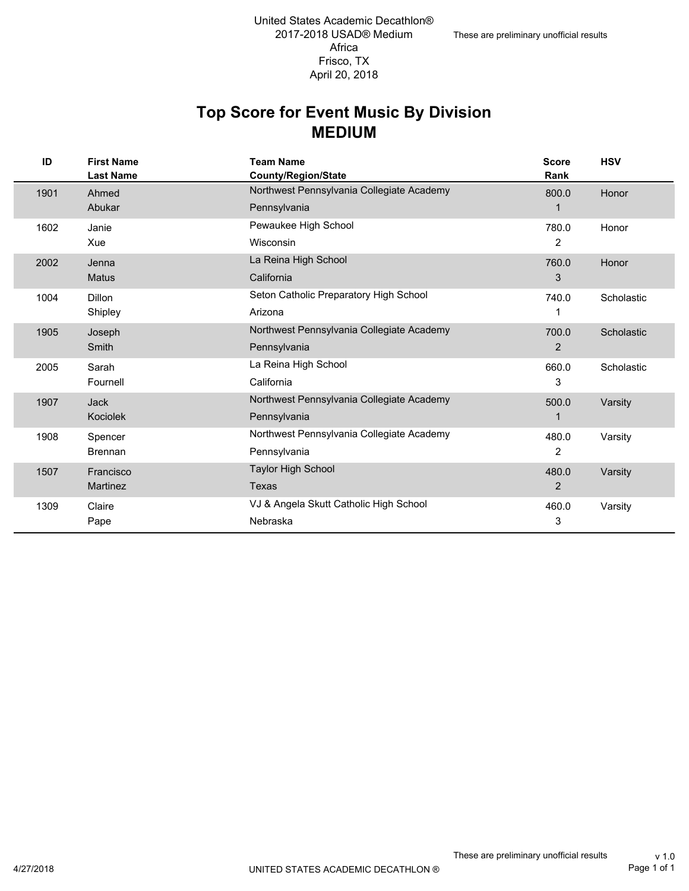#### **MEDIUM Top Score for Event Music By Division**

| ID   | <b>First Name</b><br><b>Last Name</b> | <b>Team Name</b><br><b>County/Region/State</b> | <b>Score</b><br>Rank | <b>HSV</b> |
|------|---------------------------------------|------------------------------------------------|----------------------|------------|
| 1901 | Ahmed                                 | Northwest Pennsylvania Collegiate Academy      | 800.0                | Honor      |
|      | Abukar                                | Pennsylvania                                   |                      |            |
| 1602 | Janie                                 | Pewaukee High School                           | 780.0                | Honor      |
|      | Xue                                   | Wisconsin                                      | 2                    |            |
| 2002 | Jenna                                 | La Reina High School                           | 760.0                | Honor      |
|      | <b>Matus</b>                          | California                                     | 3                    |            |
| 1004 | <b>Dillon</b>                         | Seton Catholic Preparatory High School         | 740.0                | Scholastic |
|      | Shipley                               | Arizona                                        | 1                    |            |
| 1905 | Joseph                                | Northwest Pennsylvania Collegiate Academy      | 700.0                | Scholastic |
|      | Smith                                 | Pennsylvania                                   | $\overline{2}$       |            |
| 2005 | Sarah                                 | La Reina High School                           | 660.0                | Scholastic |
|      | Fournell                              | California                                     | 3                    |            |
| 1907 | <b>Jack</b>                           | Northwest Pennsylvania Collegiate Academy      | 500.0                | Varsity    |
|      | <b>Kociolek</b>                       | Pennsylvania                                   | 1                    |            |
| 1908 | Spencer                               | Northwest Pennsylvania Collegiate Academy      | 480.0                | Varsity    |
|      | <b>Brennan</b>                        | Pennsylvania                                   | $\overline{2}$       |            |
| 1507 | Francisco                             | <b>Taylor High School</b>                      | 480.0                | Varsity    |
|      | <b>Martinez</b>                       | Texas                                          | $\overline{2}$       |            |
| 1309 | Claire                                | VJ & Angela Skutt Catholic High School         | 460.0                | Varsity    |
|      | Pape                                  | Nebraska                                       | 3                    |            |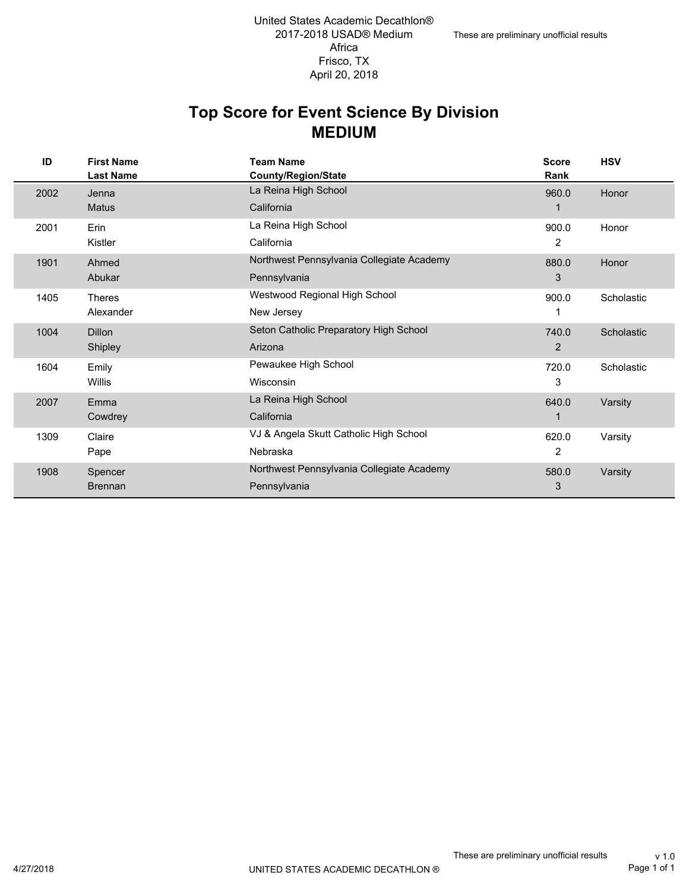#### **MEDIUM Top Score for Event Science By Division**

| ID   | <b>First Name</b><br><b>Last Name</b> | <b>Team Name</b><br>County/Region/State   | <b>Score</b><br>Rank | <b>HSV</b> |
|------|---------------------------------------|-------------------------------------------|----------------------|------------|
| 2002 | Jenna                                 | La Reina High School                      | 960.0                | Honor      |
|      | <b>Matus</b>                          | California                                |                      |            |
| 2001 | Erin                                  | La Reina High School                      | 900.0                | Honor      |
|      | Kistler                               | California                                | 2                    |            |
| 1901 | Ahmed                                 | Northwest Pennsylvania Collegiate Academy | 880.0                | Honor      |
|      | Abukar                                | Pennsylvania                              | 3                    |            |
| 1405 | <b>Theres</b>                         | Westwood Regional High School             | 900.0                | Scholastic |
|      | Alexander                             | New Jersey                                | 1                    |            |
| 1004 | <b>Dillon</b>                         | Seton Catholic Preparatory High School    | 740.0                | Scholastic |
|      | Shipley                               | Arizona                                   | 2                    |            |
| 1604 | Emily                                 | Pewaukee High School                      | 720.0                | Scholastic |
|      | Willis                                | Wisconsin                                 | 3                    |            |
| 2007 | Emma                                  | La Reina High School                      | 640.0                | Varsity    |
|      | Cowdrey                               | California                                |                      |            |
| 1309 | Claire                                | VJ & Angela Skutt Catholic High School    | 620.0                | Varsity    |
|      | Pape                                  | Nebraska                                  | 2                    |            |
| 1908 | Spencer                               | Northwest Pennsylvania Collegiate Academy | 580.0                | Varsity    |
|      | <b>Brennan</b>                        | Pennsylvania                              | 3                    |            |